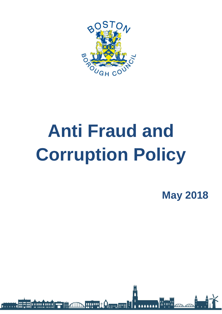

# **Anti Fraud and Corruption Policy**

**May 2018**

**AAAAAAA** 

**HIP LA CONTROL** 11 8 11111 8 11111 8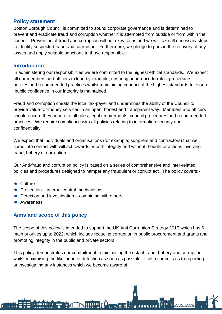## **Policy statement**

Boston Borough Council is committed to sound corporate governance and is determined to prevent and eradicate fraud and corruption whether it is attempted from outside or from within the council. Prevention of fraud and corruption will be a key focus and we will take all necessary steps to identify suspected fraud and corruption. Furthermore, we pledge to pursue the recovery of any losses and apply suitable sanctions to those responsible.

#### **Introduction**

In administering our responsibilities we are committed to the highest ethical standards. We expect all our members and officers to lead by example, ensuring adherence to rules, procedures, policies and recommended practices whilst maintaining conduct of the highest standards to ensure public confidence in our integrity is maintained.

Fraud and corruption cheats the local tax-payer and undermines the ability of the Council to provide value-for-money services in an open, honest and transparent way. Members and officers should ensure they adhere to all rules, legal requirements, council procedures and recommended practices. We require compliance with all policies relating to information security and confidentiality.

We expect that individuals and organisations (for example; suppliers and contractors) that we come into contact with will act towards us with integrity and without thought or actions involving fraud, bribery or corruption.

Our Anti-fraud and corruption policy is based on a series of comprehensive and inter-related policies and procedures designed to hamper any fraudulent or corrupt act. The policy covers:-

- **Culture**
- $\bullet$  Prevention internal control mechanisms
- $\bullet$  Detection and investigation combining with others
- **•** Awareness.

# **Aims and scope of this policy**

**A 11111 A 11111 A** 

The scope of this policy is intended to support the UK Anti Corruption Strategy 2017 which has 6 main priorities up to 2022; which include reducing corruption in public procurement and grants and promoting integrity in the public and private sectors.

This policy demonstrates our commitment to minimising the risk of fraud, bribery and corruption whilst maximising the likelihood of detection as soon as possible. It also commits us to reporting or investigating any instances which we become aware of.

**IIIIIIII**†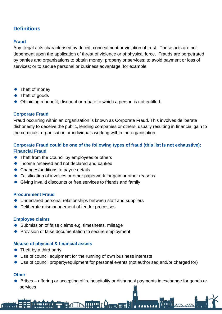# **Definitions**

#### **Fraud**

Any illegal acts characterised by deceit, concealment or violation of trust. These acts are not dependent upon the application of threat of violence or of physical force. Frauds are perpetrated by parties and organisations to obtain money, property or services; to avoid payment or loss of services; or to secure personal or business advantage, for example;

- Theft of money
- Theft of goods
- Obtaining a benefit, discount or rebate to which a person is not entitled.

#### **Corporate Fraud**

Fraud occurring within an organisation is known as Corporate Fraud. This involves deliberate dishonesty to deceive the public, lending companies or others, usually resulting in financial gain to the criminals, organisation or individuals working within the organisation.

#### **Corporate Fraud could be one of the following types of fraud (this list is not exhaustive): Financial Fraud**

- Theft from the Council by employees or others
- Income received and not declared and banked
- Changes/additions to payee details
- Falsification of invoices or other paperwork for gain or other reasons
- Giving invalid discounts or free services to friends and family

#### **Procurement Fraud**

- Undeclared personal relationships between staff and suppliers
- Deliberate mismanagement of tender processes

#### **Employee claims**

- Submission of false claims e.g. timesheets, mileage
- **•** Provision of false documentation to secure employment

#### **Misuse of physical & financial assets**

• Theft by a third party

**A 11111 & 11111 &** 

Use of council equipment for the running of own business interests

111111 <mark>\*</mark>

Use of council property/equipment for personal events (not authorised and/or charged for)

#### **Other**

 Bribes – offering or accepting gifts, hospitality or dishonest payments in exchange for goods or services

**Comp HAM**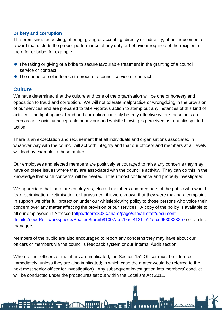#### **Bribery and corruption**

The promising, requesting, offering, giving or accepting, directly or indirectly, of an inducement or reward that distorts the proper performance of any duty or behaviour required of the recipient of the offer or bribe, for example:

- The taking or giving of a bribe to secure favourable treatment in the granting of a council service or contract
- The undue use of influence to procure a council service or contract

#### **Culture**

We have determined that the culture and tone of the organisation will be one of honesty and opposition to fraud and corruption. We will not tolerate malpractice or wrongdoing in the provision of our services and are prepared to take vigorous action to stamp out any instances of this kind of activity. The fight against fraud and corruption can only be truly effective where these acts are seen as anti-social unacceptable behaviour and whistle blowing is perceived as a public-spirited action.

There is an expectation and requirement that all individuals and organisations associated in whatever way with the council will act with integrity and that our officers and members at all levels will lead by example in these matters.

Our employees and elected members are positively encouraged to raise any concerns they may have on these issues where they are associated with the council's activity. They can do this in the knowledge that such concerns will be treated in the utmost confidence and properly investigated.

We appreciate that there are employees, elected members and members of the public who would fear recrimination, victimisation or harassment if it were known that they were making a complaint. In support we offer full protection under our whistleblowing policy to those persons who voice their concern over any matter affecting the provision of our services. A copy of the policy is available to all our employees in Alfresco [\(http://deere:8080/share/page/site/all-staff/document](http://deere:8080/share/page/site/all-staff/document-details?nodeRef=workspace://SpacesStore/b81007ab-79ac-4131-b14e-cd95303232b7)[details?nodeRef=workspace://SpacesStore/b81007ab-79ac-4131-b14e-cd95303232b7\)](http://deere:8080/share/page/site/all-staff/document-details?nodeRef=workspace://SpacesStore/b81007ab-79ac-4131-b14e-cd95303232b7) or via line managers.

Members of the public are also encouraged to report any concerns they may have about our officers or members via the council's feedback system or our Internal Audit section.

Where either officers or members are implicated, the Section 151 Officer must be informed immediately, unless they are also implicated; in which case the matter would be referred to the next most senior officer for investigation). Any subsequent investigation into members' conduct will be conducted under the procedures set out within the Localism Act 2011.

111111 <mark>3</mark>

11111 0 11111 0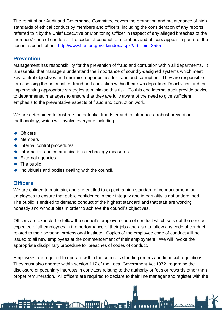The remit of our Audit and Governance Committee covers the promotion and maintenance of high standards of ethical conduct by members and officers, including the consideration of any reports referred to it by the Chief Executive or Monitoring Officer in respect of any alleged breaches of the members' code of conduct. The codes of conduct for members and officers appear in part 5 of the council's constitution <http://www.boston.gov.uk/index.aspx?articleid=3555>

# **Prevention**

Management has responsibility for the prevention of fraud and corruption within all departments. It is essential that managers understand the importance of soundly-designed systems which meet key control objectives and minimise opportunities for fraud and corruption. They are responsible for assessing the potential for fraud and corruption within their own department's activities and for implementing appropriate strategies to minimise this risk. To this end internal audit provide advice to departmental managers to ensure that they are fully aware of the need to give sufficient emphasis to the preventative aspects of fraud and corruption work.

We are determined to frustrate the potential fraudster and to introduce a robust prevention methodology, which will involve everyone including:

- **Officers**
- **•** Members
- $\bullet$  Internal control procedures

**A 11111 A 11111 A** 

- **•** Information and communications technology measures
- **•** External agencies
- The public
- $\bullet$  Individuals and bodies dealing with the council.

## **Officers**

We are obliged to maintain, and are entitled to expect, a high standard of conduct among our employees to ensure that public confidence in their integrity and impartiality is not undermined. The public is entitled to demand conduct of the highest standard and that staff are working honestly and without bias in order to achieve the council's objectives.

Officers are expected to follow the council's employee code of conduct which sets out the conduct expected of all employees in the performance of their jobs and also to follow any code of conduct related to their personal professional institute. Copies of the employee code of conduct will be issued to all new employees at the commencement of their employment. We will invoke the appropriate disciplinary procedure for breaches of codes of conduct.

Employees are required to operate within the council's standing orders and financial regulations. They must also operate within section 117 of the Local Government Act 1972, regarding the disclosure of pecuniary interests in contracts relating to the authority or fees or rewards other than proper remuneration. All officers are required to declare to their line manager and register with the

 $\Omega_{\rm F}$  , and

111111 **\***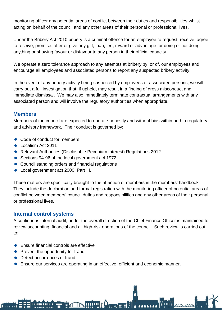monitoring officer any potential areas of conflict between their duties and responsibilities whilst acting on behalf of the council and any other areas of their personal or professional lives.

Under the Bribery Act 2010 bribery is a criminal offence for an employee to request, receive, agree to receive, promise, offer or give any gift, loan, fee, reward or advantage for doing or not doing anything or showing favour or disfavour to any person in their official capacity.

We operate a zero tolerance approach to any attempts at bribery by, or of, our employees and encourage all employees and associated persons to report any suspected bribery activity.

In the event of any bribery activity being suspected by employees or associated persons, we will carry out a full investigation that, if upheld, may result in a finding of gross misconduct and immediate dismissal. We may also immediately terminate contractual arrangements with any associated person and will involve the regulatory authorities when appropriate.

#### **Members**

Members of the council are expected to operate honestly and without bias within both a regulatory and advisory framework. Their conduct is governed by:

- Code of conduct for members
- localism Act 2011
- Relevant Authorities (Disclosable Pecuniary Interest) Regulations 2012
- Sections 94-96 of the local government act 1972
- Council standing orders and financial regulations
- Local government act 2000: Part III.

These matters are specifically brought to the attention of members in the members' handbook. They include the declaration and formal registration with the monitoring officer of potential areas of conflict between members' council duties and responsibilities and any other areas of their personal or professional lives.

#### **Internal control systems**

A continuous internal audit, under the overall direction of the Chief Finance Officer is maintained to review accounting, financial and all high-risk operations of the council. Such review is carried out to:

- Ensure financial controls are effective
- Prevent the opportunity for fraud
- Detect occurrences of fraud

**A 11111 A 11111 A** 

Ensure our services are operating in an effective, efficient and economic manner.

шин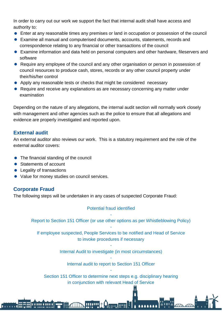In order to carry out our work we support the fact that internal audit shall have access and authority to:

- Enter at any reasonable times any premises or land in occupation or possession of the council
- Examine all manual and computerised documents, accounts, statements, records and correspondence relating to any financial or other transactions of the council
- Examine information and data held on personal computers and other hardware, fileservers and software
- Require any employee of the council and any other organisation or person in possession of council resources to produce cash, stores, records or any other council property under their/his/her control
- Apply any reasonable tests or checks that might be considered necessary
- Require and receive any explanations as are necessary concerning any matter under examination

Depending on the nature of any allegations, the internal audit section will normally work closely with management and other agencies such as the police to ensure that all allegations and evidence are properly investigated and reported upon.

# **External audit**

An external auditor also reviews our work. This is a statutory requirement and the role of the external auditor covers:

- The financial standing of the council
- Statements of account
- Legality of transactions

**A 11111 A 11111 A** 

• Value for money studies on council services.

# **Corporate Fraud**

The following steps will be undertaken in any cases of suspected Corporate Fraud:

#### Potential fraud identified

- Report to Section 151 Officer (or use other options as per Whistleblowing Policy) -

If employee suspected, People Services to be notified and Head of Service to invoke procedures if necessary

> - Internal Audit to investigate (in most circumstances)

- Internal audit to report to Section 151 Officer -

Section 151 Officer to determine next steps e.g. disciplinary hearing in conjunction with relevant Head of Service

 $\sim$  00000 0000  $\sim$ 

111111<sup>8</sup>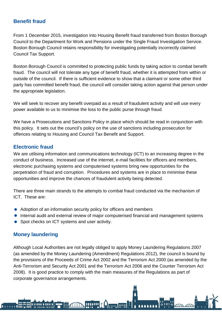# **Benefit fraud**

From 1 December 2015, investigation into Housing Benefit fraud transferred from Boston Borough Council to the Department for Work and Pensions under the Single Fraud Investigation Service. Boston Borough Council retains responsibility for investigating potentially incorrectly claimed Council Tax Support.

Boston Borough Council is committed to protecting public funds by taking action to combat benefit fraud. The council will not tolerate any type of benefit fraud, whether it is attempted from within or outside of the council. If there is sufficient evidence to show that a claimant or some other third party has committed benefit fraud, the council will consider taking action against that person under the appropriate legislation.

We will seek to recover any benefit overpaid as a result of fraudulent activity and will use every power available to us to minimise the loss to the public purse through fraud.

We have a Prosecutions and Sanctions Policy in place which should be read in conjunction with this policy. It sets out the council's policy on the use of sanctions including prosecution for offences relating to Housing and Council Tax Benefit and Support.

# **Electronic fraud**

We are utilising information and communications technology (ICT) to an increasing degree in the conduct of business. Increased use of the internet, e-mail facilities for officers and members, electronic purchasing systems and computerised systems bring new opportunities for the perpetration of fraud and corruption. Procedures and systems are in place to minimise these opportunities and improve the chances of fraudulent activity being detected.

There are three main strands to the attempts to combat fraud conducted via the mechanism of ICT. These are:

- Adoption of an information security policy for officers and members
- **Internal audit and external review of major computerised financial and management systems**
- Spot checks on ICT systems and user activity.

# **Money laundering**

**A 11111 A 11111 A** 

Although Local Authorities are not legally obliged to apply Money Laundering Regulations 2007 (as amended by the Money Laundering (Amendment) Regulations 2012), the council is bound by the provisions of the Proceeds of Crime Act 2002 and the Terrorism Act 2000 (as amended by the Anti-Terrorism and Security Act 2001 and the Terrorism Act 2006 and the Counter Terrorism Act 2008). It is good practice to comply with the main measures of the Regulations as part of corporate governance arrangements.

 $\sim$   $\sim$   $\sim$   $\sim$   $\sim$ 

111111 <mark>\*</mark>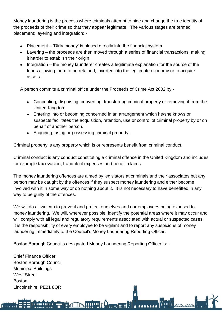Money laundering is the process where criminals attempt to hide and change the true identity of the proceeds of their crime so that they appear legitimate. The various stages are termed placement; layering and integration: -

- Placement 'Dirty money' is placed directly into the financial system
- Layering the proceeds are then moved through a series of financial transactions, making it harder to establish their origin
- Integration the money launderer creates a legitimate explanation for the source of the funds allowing them to be retained, inverted into the legitimate economy or to acquire assets.

A person commits a criminal office under the Proceeds of Crime Act 2002 by:-

- Concealing, disguising, converting, transferring criminal property or removing it from the United Kingdom
- Entering into or becoming concerned in an arrangement which he/she knows or suspects facilitates the acquisition, retention, use or control of criminal property by or on behalf of another person.
- Acquiring, using or possessing criminal property.

Criminal property is any property which is or represents benefit from criminal conduct.

Criminal conduct is any conduct constituting a criminal offence in the United Kingdom and includes for example tax evasion, fraudulent expenses and benefit claims.

The money laundering offences are aimed by legislators at criminals and their associates but any person may be caught by the offences if they suspect money laundering and either become involved with it in some way or do nothing about it. It is not necessary to have benefitted in any way to be guilty of the offences.

We will do all we can to prevent and protect ourselves and our employees being exposed to money laundering. We will, wherever possible, identify the potential areas where it may occur and will comply with all legal and regulatory requirements associated with actual or suspected cases. It is the responsibility of every employee to be vigilant and to report any suspicions of money laundering immediately to the Council's Money Laundering Reporting Officer.

**HIPPE Company** 

Boston Borough Council's designated Money Laundering Reporting Officer is: -

Chief Finance Officer Boston Borough Council Municipal Buildings West Street **Boston** Lincolnshire, PE21 8QR

**A 11111 A 11111 A**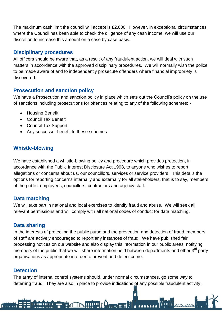The maximum cash limit the council will accept is £2,000. However, in exceptional circumstances where the Council has been able to check the diligence of any cash income, we will use our discretion to increase this amount on a case by case basis.

# **Disciplinary procedures**

All officers should be aware that, as a result of any fraudulent action, we will deal with such matters in accordance with the approved disciplinary procedures. We will normally wish the police to be made aware of and to independently prosecute offenders where financial impropriety is discovered.

# **Prosecution and sanction policy**

We have a Prosecution and sanction policy in place which sets out the Council's policy on the use of sanctions including prosecutions for offences relating to any of the following schemes: -

- Housing Benefit
- Council Tax Benefit
- Council Tax Support
- Any successor benefit to these schemes

# **Whistle-blowing**

We have established a whistle-blowing policy and procedure which provides protection, in accordance with the Public Interest Disclosure Act 1998, to anyone who wishes to report allegations or concerns about us, our councillors, services or service providers. This details the options for reporting concerns internally and externally for all stakeholders, that is to say, members of the public, employees, councillors, contractors and agency staff.

## **Data matching**

We will take part in national and local exercises to identify fraud and abuse. We will seek all relevant permissions and will comply with all national codes of conduct for data matching.

## **Data sharing**

In the interests of protecting the public purse and the prevention and detection of fraud, members of staff are actively encouraged to report any instances of fraud. We have published fair processing notices on our website and also display this information in our public areas, notifying members of the public that we will share information held between departments and other  $3<sup>rd</sup>$  party organisations as appropriate in order to prevent and detect crime.

## **Detection**

**A 11111 & 11111 &** 

The array of internal control systems should, under normal circumstances, go some way to deterring fraud. They are also in place to provide indications of any possible fraudulent activity.

**HILL A Complete !**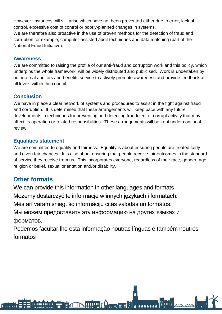However, instances will still arise which have not been prevented either due to error, lack of control, excessive cost of control or poorly-planned changes in systems. We are therefore also proactive in the use of proven methods for the detection of fraud and corruption for example, computer-assisted audit techniques and data matching (part of the National Fraud Initiative).

## **Awareness**

We are committed to raising the profile of our anti-fraud and corruption work and this policy, which underpins the whole framework, will be widely distributed and publicised. Work is undertaken by our internal auditors and benefits service to actively promote awareness and provide feedback at all levels within the council.

# **Conclusion**

We have in place a clear network of systems and procedures to assist in the fight against fraud and corruption. It is determined that these arrangements will keep pace with any future developments in techniques for preventing and detecting fraudulent or corrupt activity that may affect its operation or related responsibilities. These arrangements will be kept under continual review.

# **Equalities statement**

We are committed to equality and fairness. Equality is about ensuring people are treated fairly and given fair chances. It is also about ensuring that people receive fair outcomes in the standard of service they receive from us. This incorporates everyone, regardless of their race, gender, age, religion or belief, sexual orientation and/or disability.

# **Other formats**

**A 11111 A 11111 A** 

We can provide this information in other languages and formats

Możemy dostarczyć te informacje w innych językach i formatach.

Mēs arī varam sniegt šo informāciju citās valodās un formātos.

Мы можем предоставить эту информацию на других языках и форматов.

Podemos facultar-lhe esta informação noutras línguas e também noutros formatos

**Hillie Company**